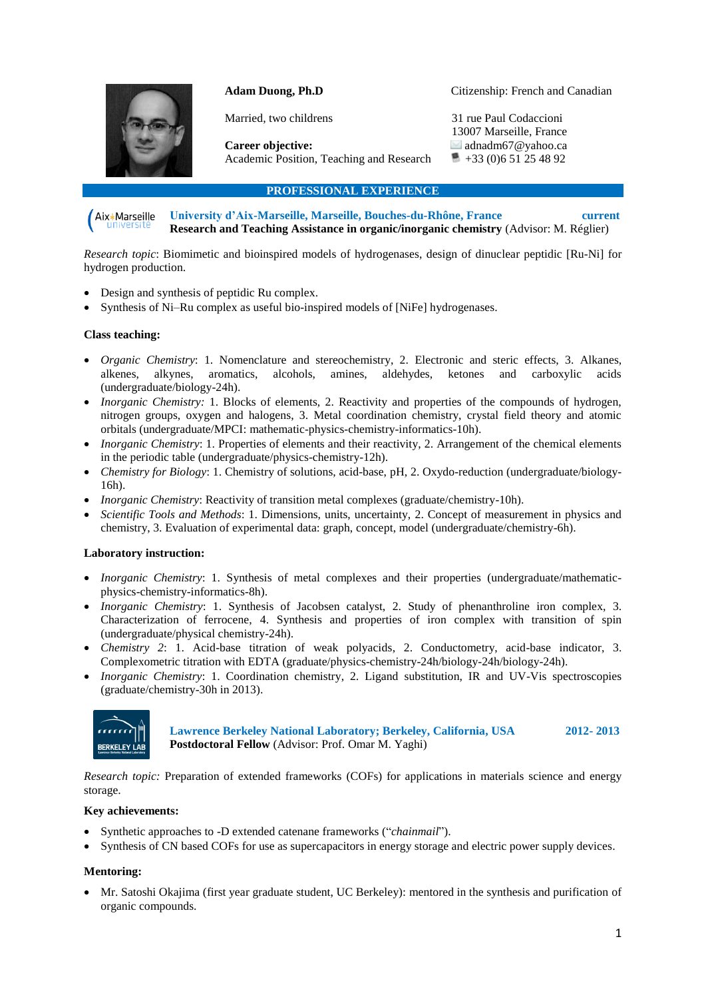

## **Adam Duong, Ph.D**

Citizenship: French and Canadian

Married, two childrens

31 rue Paul Codaccioni 13007 Marseille, France adnadm67@yahoo.ca  $+33(0)651254892$ 

**Career objective:**  Academic Position, Teaching and Research

**PROFESSIONAL EXPERIENCE**

**University d'Aix-Marseille, Marseille, Bouches-du-Rhône, France current** Aix\*Marseille **Research and Teaching Assistance in organic/inorganic chemistry** (Advisor: M. Réglier)

*Research topic*: Biomimetic and bioinspired models of hydrogenases, design of dinuclear peptidic [Ru-Ni] for hydrogen production.

- Design and synthesis of peptidic Ru complex.
- Synthesis of Ni–Ru complex as useful bio-inspired models of [NiFe] hydrogenases.

## **Class teaching:**

- *Organic Chemistry*: 1. Nomenclature and stereochemistry, 2. Electronic and steric effects, 3. Alkanes, alkenes, alkynes, aromatics, alcohols, amines, aldehydes, ketones and carboxylic acids (undergraduate/biology-24h).
- *Inorganic Chemistry:* 1. Blocks of elements, 2. Reactivity and properties of the compounds of hydrogen, nitrogen groups, oxygen and halogens, 3. Metal coordination chemistry, crystal field theory and atomic orbitals (undergraduate/MPCI: mathematic-physics-chemistry-informatics-10h).
- *Inorganic Chemistry*: 1. Properties of elements and their reactivity, 2. Arrangement of the chemical elements in the periodic table (undergraduate/physics-chemistry-12h).
- *Chemistry for Biology*: 1. Chemistry of solutions, acid-base, pH, 2. Oxydo-reduction (undergraduate/biology-16h).
- *Inorganic Chemistry*: Reactivity of transition metal complexes (graduate/chemistry-10h).
- *Scientific Tools and Methods*: 1. Dimensions, units, uncertainty, 2. Concept of measurement in physics and chemistry, 3. Evaluation of experimental data: graph, concept, model (undergraduate/chemistry-6h).

## **Laboratory instruction:**

- *Inorganic Chemistry*: 1. Synthesis of metal complexes and their properties (undergraduate/mathematicphysics-chemistry-informatics-8h).
- *Inorganic Chemistry*: 1. Synthesis of Jacobsen catalyst, 2. Study of phenanthroline iron complex, 3. Characterization of ferrocene, 4. Synthesis and properties of iron complex with transition of spin (undergraduate/physical chemistry-24h).
- *Chemistry 2*: 1. Acid-base titration of weak polyacids, 2. Conductometry, acid-base indicator, 3. Complexometric titration with EDTA (graduate/physics-chemistry-24h/biology-24h/biology-24h).
- *Inorganic Chemistry*: 1. Coordination chemistry, 2. Ligand substitution, IR and UV-Vis spectroscopies (graduate/chemistry-30h in 2013).



**Lawrence Berkeley National Laboratory; Berkeley, California, USA 2012- 2013 Postdoctoral Fellow** (Advisor: Prof. Omar M. Yaghi)

*Research topic:* Preparation of extended frameworks (COFs) for applications in materials science and energy storage.

#### **Key achievements:**

- Synthetic approaches to -D extended catenane frameworks ("*chainmail*").
- Synthesis of CN based COFs for use as supercapacitors in energy storage and electric power supply devices.

## **Mentoring:**

 Mr. Satoshi Okajima (first year graduate student, UC Berkeley): mentored in the synthesis and purification of organic compounds.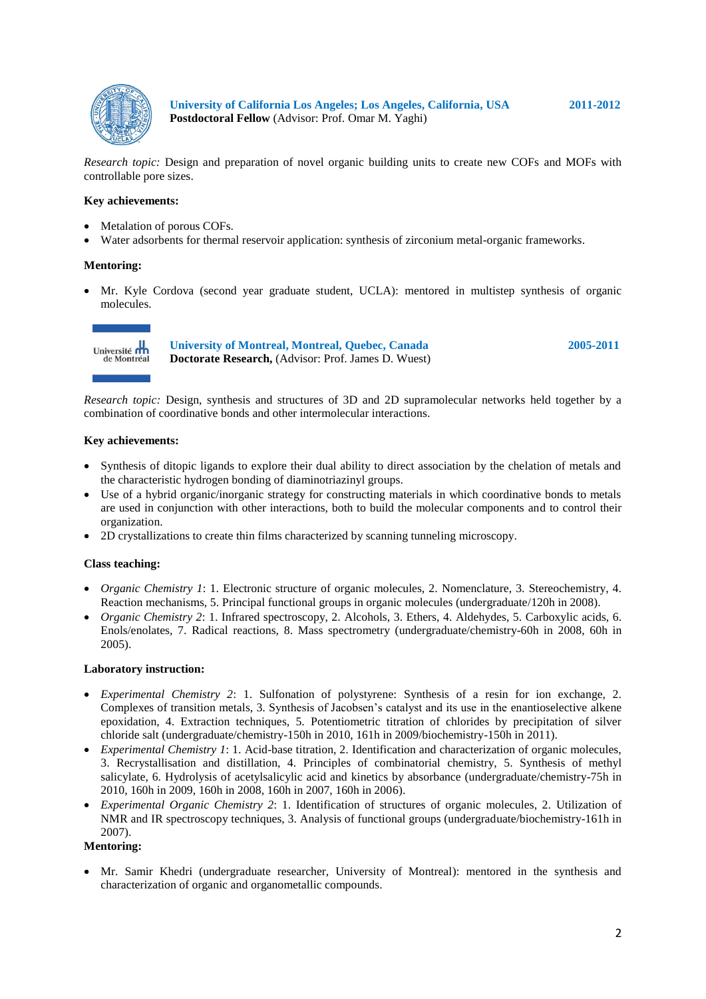

**University of California Los Angeles; Los Angeles, California, USA 2011-2012 Postdoctoral Fellow** (Advisor: Prof. Omar M. Yaghi)

*Research topic:* Design and preparation of novel organic building units to create new COFs and MOFs with controllable pore sizes.

### **Key achievements:**

- Metalation of porous COFs.
- Water adsorbents for thermal reservoir application: synthesis of zirconium metal-organic frameworks.

### **Mentoring:**

 Mr. Kyle Cordova (second year graduate student, UCLA): mentored in multistep synthesis of organic molecules.



**University of Montreal, Montreal, Quebec, Canada 2005-2011 Doctorate Research,** (Advisor: Prof. James D. Wuest)

*Research topic:* Design, synthesis and structures of 3D and 2D supramolecular networks held together by a combination of coordinative bonds and other intermolecular interactions.

#### **Key achievements:**

- Synthesis of ditopic ligands to explore their dual ability to direct association by the chelation of metals and the characteristic hydrogen bonding of diaminotriazinyl groups.
- Use of a hybrid organic/inorganic strategy for constructing materials in which coordinative bonds to metals are used in conjunction with other interactions, both to build the molecular components and to control their organization.
- 2D crystallizations to create thin films characterized by scanning tunneling microscopy.

## **Class teaching:**

- *Organic Chemistry 1*: 1. Electronic structure of organic molecules, 2. Nomenclature, 3. Stereochemistry, 4. Reaction mechanisms, 5. Principal functional groups in organic molecules (undergraduate/120h in 2008).
- *Organic Chemistry 2*: 1. Infrared spectroscopy, 2. Alcohols, 3. Ethers, 4. Aldehydes, 5. Carboxylic acids, 6. Enols/enolates, 7. Radical reactions, 8. Mass spectrometry (undergraduate/chemistry-60h in 2008, 60h in 2005).

### **Laboratory instruction:**

- *Experimental Chemistry 2*: 1. Sulfonation of polystyrene: Synthesis of a resin for ion exchange, 2. Complexes of transition metals, 3. Synthesis of Jacobsen's catalyst and its use in the enantioselective alkene epoxidation, 4. Extraction techniques, 5. Potentiometric titration of chlorides by precipitation of silver chloride salt (undergraduate/chemistry-150h in 2010, 161h in 2009/biochemistry-150h in 2011).
- *Experimental Chemistry 1*: 1. Acid-base titration, 2. Identification and characterization of organic molecules, 3. Recrystallisation and distillation, 4. Principles of combinatorial chemistry, 5. Synthesis of methyl salicylate, 6. Hydrolysis of acetylsalicylic acid and kinetics by absorbance (undergraduate/chemistry-75h in 2010, 160h in 2009, 160h in 2008, 160h in 2007, 160h in 2006).
- *Experimental Organic Chemistry 2*: 1. Identification of structures of organic molecules, 2. Utilization of NMR and IR spectroscopy techniques, 3. Analysis of functional groups (undergraduate/biochemistry-161h in 2007).

### **Mentoring:**

 Mr. Samir Khedri (undergraduate researcher, University of Montreal): mentored in the synthesis and characterization of organic and organometallic compounds.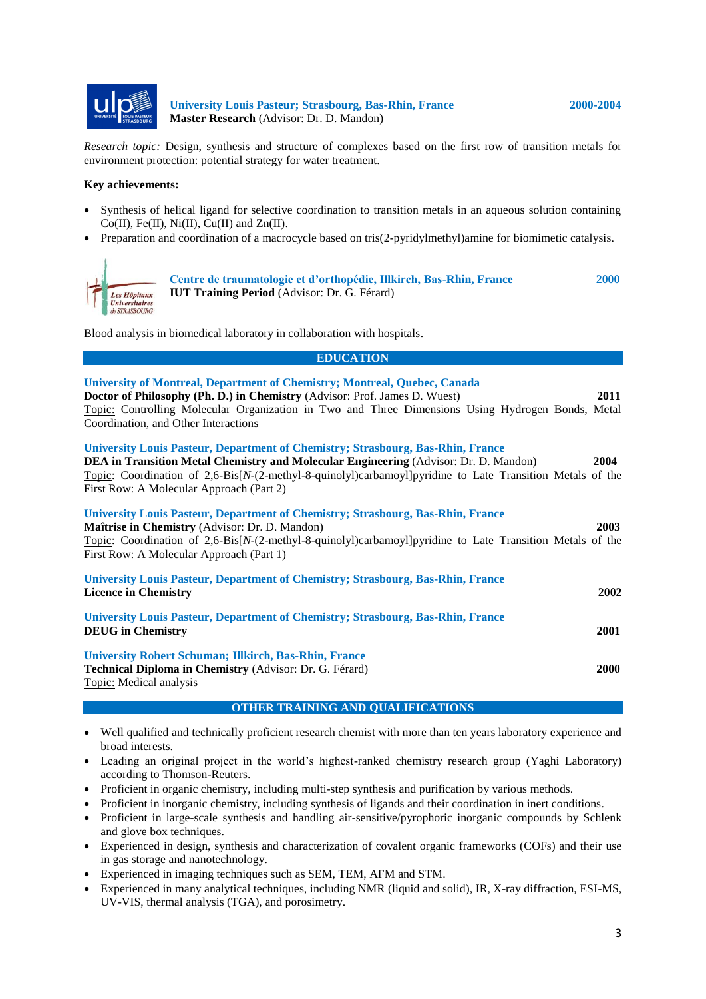

**University Louis Pasteur; Strasbourg, Bas-Rhin, France 2000-2004 Master Research** (Advisor: Dr. D. Mandon)

*Research topic:* Design, synthesis and structure of complexes based on the first row of transition metals for environment protection: potential strategy for water treatment.

#### **Key achievements:**

- Synthesis of helical ligand for selective coordination to transition metals in an aqueous solution containing  $Co(II)$ , Fe(II), Ni(II), Cu(II) and Zn(II).
- Preparation and coordination of a macrocycle based on tris(2-pyridylmethyl)amine for biomimetic catalysis.



**Centre de traumatologie et d'orthopédie, Illkirch, Bas-Rhin, France 2000 IUT Training Period** (Advisor: Dr. G. Férard)

Blood analysis in biomedical laboratory in collaboration with hospitals.

**EDUCATION**

| <b>University of Montreal, Department of Chemistry; Montreal, Quebec, Canada</b><br>Doctor of Philosophy (Ph. D.) in Chemistry (Advisor: Prof. James D. Wuest)<br>2011<br>Topic: Controlling Molecular Organization in Two and Three Dimensions Using Hydrogen Bonds, Metal<br>Coordination, and Other Interactions                                    |      |
|--------------------------------------------------------------------------------------------------------------------------------------------------------------------------------------------------------------------------------------------------------------------------------------------------------------------------------------------------------|------|
| <b>University Louis Pasteur, Department of Chemistry; Strasbourg, Bas-Rhin, France</b><br><b>DEA in Transition Metal Chemistry and Molecular Engineering (Advisor: Dr. D. Mandon)</b><br>2004<br>Topic: Coordination of 2,6-Bis[N-(2-methyl-8-quinolyl)carbamoyl]pyridine to Late Transition Metals of the<br>First Row: A Molecular Approach (Part 2) |      |
| <b>University Louis Pasteur, Department of Chemistry; Strasbourg, Bas-Rhin, France</b><br>2003<br>Maîtrise in Chemistry (Advisor: Dr. D. Mandon)<br>Topic: Coordination of 2,6-Bis[N-(2-methyl-8-quinolyl)carbamoyl]pyridine to Late Transition Metals of the<br>First Row: A Molecular Approach (Part 1)                                              |      |
| <b>University Louis Pasteur, Department of Chemistry; Strasbourg, Bas-Rhin, France</b><br><b>Licence in Chemistry</b>                                                                                                                                                                                                                                  | 2002 |
| <b>University Louis Pasteur, Department of Chemistry; Strasbourg, Bas-Rhin, France</b><br><b>DEUG</b> in Chemistry<br>2001                                                                                                                                                                                                                             |      |
| <b>University Robert Schuman; Illkirch, Bas-Rhin, France</b><br>Technical Diploma in Chemistry (Advisor: Dr. G. Férard)<br><b>2000</b><br>Topic: Medical analysis                                                                                                                                                                                      |      |

## **OTHER TRAINING AND QUALIFICATIONS**

- Well qualified and technically proficient research chemist with more than ten years laboratory experience and broad interests.
- Leading an original project in the world's highest-ranked chemistry research group (Yaghi Laboratory) according to Thomson-Reuters.
- Proficient in organic chemistry, including multi-step synthesis and purification by various methods.
- Proficient in inorganic chemistry, including synthesis of ligands and their coordination in inert conditions.
- Proficient in large-scale synthesis and handling air-sensitive/pyrophoric inorganic compounds by Schlenk and glove box techniques.
- Experienced in design, synthesis and characterization of covalent organic frameworks (COFs) and their use in gas storage and nanotechnology.
- Experienced in imaging techniques such as SEM, TEM, AFM and STM.
- Experienced in many analytical techniques, including NMR (liquid and solid), IR, X-ray diffraction, ESI-MS, UV-VIS, thermal analysis (TGA), and porosimetry.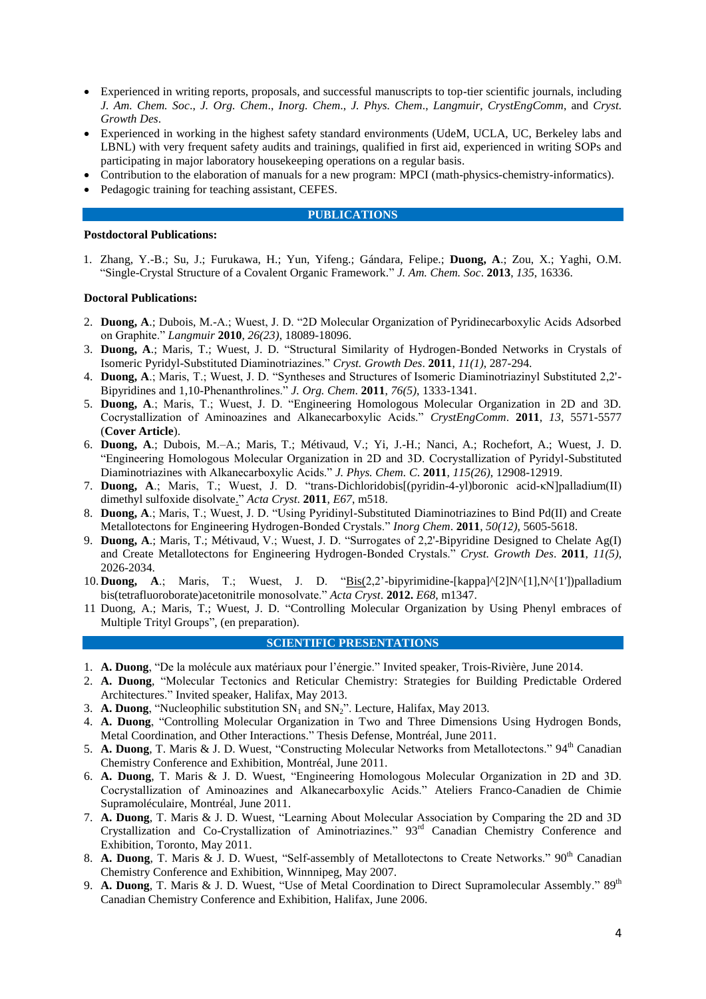- Experienced in writing reports, proposals, and successful manuscripts to top-tier scientific journals, including *J. Am. Chem. Soc*., *J. Org. Chem*., *Inorg. Chem*., *J. Phys. Chem*., *Langmuir*, *CrystEngComm*, and *Cryst. Growth Des*.
- Experienced in working in the highest safety standard environments (UdeM, UCLA, UC, Berkeley labs and LBNL) with very frequent safety audits and trainings, qualified in first aid, experienced in writing SOPs and participating in major laboratory housekeeping operations on a regular basis.
- Contribution to the elaboration of manuals for a new program: MPCI (math-physics-chemistry-informatics).
- Pedagogic training for teaching assistant, CEFES.

#### **PUBLICATIONS**

#### **Postdoctoral Publications:**

1. Zhang, Y.-B.; Su, J.; Furukawa, H.; Yun, Yifeng.; Gándara, Felipe.; **Duong, A**.; Zou, X.; Yaghi, O.M. "Single-Crystal Structure of a Covalent Organic Framework." *J. Am. Chem. Soc*. **2013**, *135*, 16336.

### **Doctoral Publications:**

- 2. **Duong, A**.; Dubois, M.-A.; Wuest, J. D. "2D Molecular Organization of Pyridinecarboxylic Acids Adsorbed on Graphite." *Langmuir* **2010**, *26(23)*, 18089-18096.
- 3. **Duong, A**.; Maris, T.; Wuest, J. D. "Structural Similarity of Hydrogen-Bonded Networks in Crystals of Isomeric Pyridyl-Substituted Diaminotriazines." *Cryst. Growth Des*. **2011**, *11(1)*, 287-294.
- 4. **Duong, A**.; Maris, T.; Wuest, J. D. "Syntheses and Structures of Isomeric Diaminotriazinyl Substituted 2,2'- Bipyridines and 1,10-Phenanthrolines." *J. Org. Chem*. **2011**, *76(5)*, 1333-1341.
- 5. **Duong, A**.; Maris, T.; Wuest, J. D. "Engineering Homologous Molecular Organization in 2D and 3D. Cocrystallization of Aminoazines and Alkanecarboxylic Acids." *CrystEngComm*. **2011**, *13*, 5571-5577 (**Cover Article**).
- 6. **Duong, A**.; Dubois, M.–A.; Maris, T.; Métivaud, V.; Yi, J.-H.; Nanci, A.; Rochefort, A.; Wuest, J. D. "Engineering Homologous Molecular Organization in 2D and 3D. Cocrystallization of Pyridyl-Substituted Diaminotriazines with Alkanecarboxylic Acids." *J. Phys. Chem. C*. **2011**, *115(26)*, 12908-12919.
- 7. **Duong, A**.; Maris, T.; Wuest, J. D. ["trans-Dichloridobis\[\(pyridin-4-yl\)boronic acid-κN\]palladium\(II\)](http://www.researchgate.net/publication/51490188_trans-Dichloridobis%28pyridin-4-yl%29boronic_acid-Npalladium%28II%29_dimethyl_sulfoxide_disolvate)  [dimethyl sulfoxide disolvate.](http://www.researchgate.net/publication/51490188_trans-Dichloridobis%28pyridin-4-yl%29boronic_acid-Npalladium%28II%29_dimethyl_sulfoxide_disolvate)" *Acta Cryst*. **2011**, *E67*, m518.
- 8. **Duong, A**.; Maris, T.; Wuest, J. D. "Using Pyridinyl-Substituted Diaminotriazines to Bind Pd(II) and Create Metallotectons for Engineering Hydrogen-Bonded Crystals." *Inorg Chem*. **2011**, *50(12)*, 5605-5618.
- 9. **Duong, A**.; Maris, T.; Métivaud, V.; Wuest, J. D. "Surrogates of 2,2'-Bipyridine Designed to Chelate Ag(I) and Create Metallotectons for Engineering Hydrogen-Bonded Crystals." *Cryst. Growth Des*. **2011**, *11(5)*, 2026-2034.
- 10. **Duong, A**.; Maris, T.; Wuest, J. D. ["Bis\(2](http://www.researchgate.net/publication/51490188_trans-Dichloridobis%28pyridin-4-yl%29boronic_acid-Npalladium%28II%29_dimethyl_sulfoxide_disolvate),2'-bipyrimidine-[kappa]^[2]N^[1],N^[1'])palladium bis(tetrafluoroborate)acetonitrile monosolvate." *Acta Cryst*. **2012.** *E68*, m1347.
- 11 Duong, A.; Maris, T.; Wuest, J. D. "Controlling Molecular Organization by Using Phenyl embraces of Multiple Trityl Groups", (en preparation).

### **SCIENTIFIC PRESENTATIONS**

- 1. **A. Duong**, "De la molécule aux matériaux pour l'énergie." Invited speaker, Trois-Rivière, June 2014.
- 2. **A. Duong**, "Molecular Tectonics and Reticular Chemistry: Strategies for Building Predictable Ordered Architectures." Invited speaker, Halifax, May 2013.
- 3. **A. Duong**, "Nucleophilic substitution  $SN_1$  and  $SN_2$ ". Lecture, Halifax, May 2013.
- 4. **A. Duong**, "Controlling Molecular Organization in Two and Three Dimensions Using Hydrogen Bonds, Metal Coordination, and Other Interactions." Thesis Defense, Montréal, June 2011.
- 5. **A. Duong**, T. Maris & J. D. Wuest, "Constructing Molecular Networks from Metallotectons." 94<sup>th</sup> Canadian Chemistry Conference and Exhibition, Montréal, June 2011.
- 6. **A. Duong**, T. Maris & J. D. Wuest, "Engineering Homologous Molecular Organization in 2D and 3D. Cocrystallization of Aminoazines and Alkanecarboxylic Acids." Ateliers Franco-Canadien de Chimie Supramoléculaire, Montréal, June 2011.
- 7. **A. Duong**, T. Maris & J. D. Wuest, "Learning About Molecular Association by Comparing the 2D and 3D Crystallization and Co-Crystallization of Aminotriazines." 93rd Canadian Chemistry Conference and Exhibition, Toronto, May 2011.
- 8. A. Duong, T. Maris & J. D. Wuest, "Self-assembly of Metallotectons to Create Networks." 90<sup>th</sup> Canadian Chemistry Conference and Exhibition, Winnnipeg, May 2007.
- 9. A. Duong, T. Maris & J. D. Wuest, "Use of Metal Coordination to Direct Supramolecular Assembly." 89<sup>th</sup> Canadian Chemistry Conference and Exhibition, Halifax, June 2006.